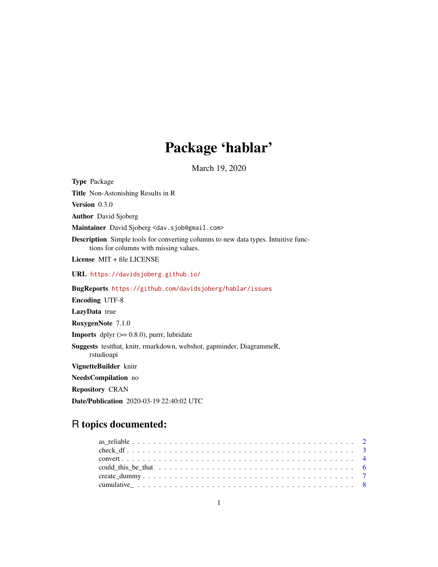## Package 'hablar'

March 19, 2020

Type Package Title Non-Astonishing Results in R Version 0.3.0 Author David Sjoberg Maintainer David Sjoberg <dav.sjob@gmail.com> Description Simple tools for converting columns to new data types. Intuitive functions for columns with missing values. License MIT + file LICENSE URL <https://davidsjoberg.github.io/> BugReports <https://github.com/davidsjoberg/hablar/issues> Encoding UTF-8 LazyData true RoxygenNote 7.1.0 **Imports** dplyr  $(>= 0.8.0)$ , purrr, lubridate Suggests testthat, knitr, rmarkdown, webshot, gapminder, DiagrammeR, rstudioapi VignetteBuilder knitr NeedsCompilation no Repository CRAN Date/Publication 2020-03-19 22:40:02 UTC

## R topics documented: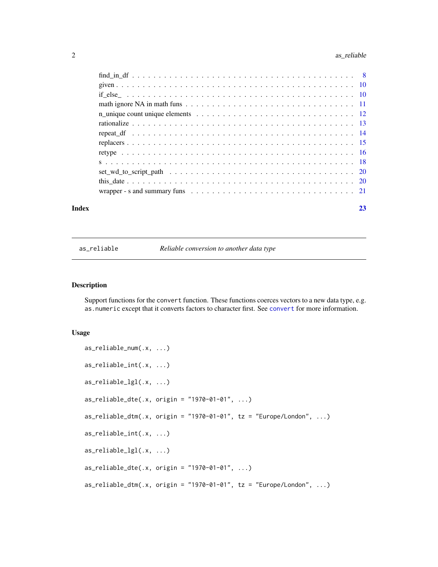## <span id="page-1-0"></span>2 as\_reliable assets are  $\frac{1}{2}$  as  $\frac{1}{2}$  as  $\frac{1}{2}$  as  $\frac{1}{2}$  as  $\frac{1}{2}$  as  $\frac{1}{2}$  as  $\frac{1}{2}$  as  $\frac{1}{2}$  as  $\frac{1}{2}$  as  $\frac{1}{2}$  as  $\frac{1}{2}$  as  $\frac{1}{2}$  as  $\frac{1}{2}$  as  $\frac{1}{2}$  as  $\frac{1}{2}$  as  $\$

| Index |                                                                                                                  | 23 |
|-------|------------------------------------------------------------------------------------------------------------------|----|
|       |                                                                                                                  |    |
|       |                                                                                                                  |    |
|       |                                                                                                                  |    |
|       |                                                                                                                  |    |
|       |                                                                                                                  |    |
|       |                                                                                                                  |    |
|       |                                                                                                                  |    |
|       |                                                                                                                  |    |
|       | n_unique count unique elements $\ldots \ldots \ldots \ldots \ldots \ldots \ldots \ldots \ldots \ldots \ldots 12$ |    |
|       |                                                                                                                  |    |
|       |                                                                                                                  |    |
|       |                                                                                                                  |    |
|       |                                                                                                                  |    |

as\_reliable *Reliable conversion to another data type*

#### Description

Support functions for the convert function. These functions coerces vectors to a new data type, e.g. as.numeric except that it converts factors to character first. See [convert](#page-3-1) for more information.

#### Usage

```
as_reliable_num(.x, ...)
as_reliable_int(.x, ...)
as_reliable_lgl(.x, ...)
as_reliable_dte(.x, origin = "1970-01-01", ...)
as_{reliable_dtm(.x, origin = "1970-01-01", tz = "European/London", ...}as_reliable_int(.x, ...)
as_reliable_lgl(.x, ...)
as_{reli}able_dte(x, origin = "1970-01-01", ...)as_{reli}beliable_dtm(.x, origin = "1970-01-01", tz = "Europe/London", ...)
```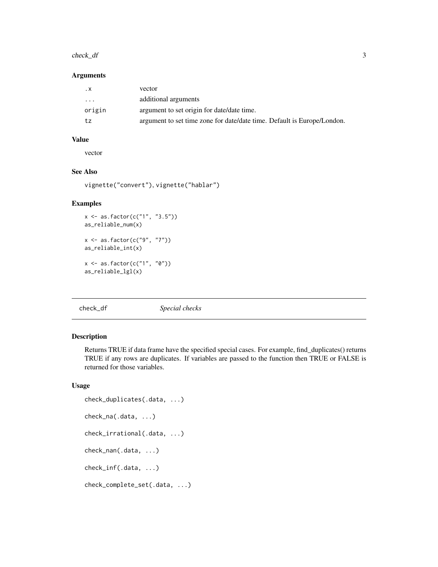#### <span id="page-2-0"></span>check\_df 3

#### Arguments

| $\cdot$ X | vector                                                                  |
|-----------|-------------------------------------------------------------------------|
| .         | additional arguments                                                    |
| origin    | argument to set origin for date/date time.                              |
| tz        | argument to set time zone for date/date time. Default is Europe/London. |

## Value

vector

## See Also

vignette("convert"), vignette("hablar")

#### Examples

```
x <- as.factor(c("1", "3.5"))
as_reliable_num(x)
x <- as.factor(c("9", "7"))
as_reliable_int(x)
x <- as.factor(c("1", "0"))
as_reliable_lgl(x)
```
## <span id="page-2-1"></span>check\_df *Special checks*

## Description

Returns TRUE if data frame have the specified special cases. For example, find\_duplicates() returns TRUE if any rows are duplicates. If variables are passed to the function then TRUE or FALSE is returned for those variables.

#### Usage

```
check_duplicates(.data, ...)
check_na(.data, ...)
check_irrational(.data, ...)
check_nan(.data, ...)
check_inf(.data, ...)
check_complete_set(.data, ...)
```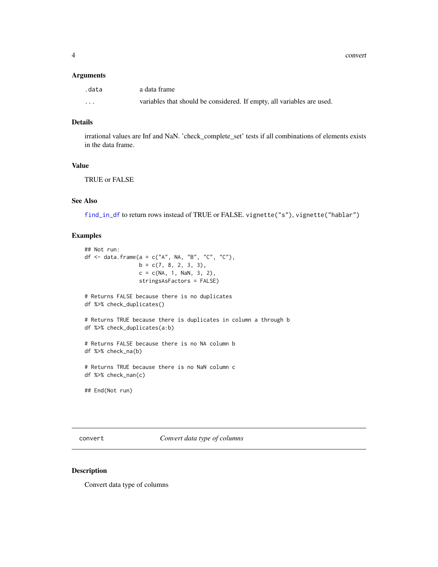<span id="page-3-0"></span>4 converted and  $\sim$  converted and  $\sim$  converted and  $\sim$  converted and  $\sim$  converted and  $\sim$  converted and  $\sim$  converted and  $\sim$  converted and  $\sim$  converted and  $\sim$  converted and  $\sim$  converted and  $\sim$  converted a

#### Arguments

| .data    | a data frame                                                           |
|----------|------------------------------------------------------------------------|
| $\cdots$ | variables that should be considered. If empty, all variables are used. |

## Details

irrational values are Inf and NaN. 'check\_complete\_set' tests if all combinations of elements exists in the data frame.

## Value

TRUE or FALSE

## See Also

[find\\_in\\_df](#page-7-1) to return rows instead of TRUE or FALSE. vignette("s"), vignette("hablar")

## Examples

```
## Not run:
df \le data.frame(a = c("A", NA, "B", "C", "C"),
                 b = c(7, 8, 2, 3, 3),
                 c = c(NA, 1, NaN, 3, 2),stringsAsFactors = FALSE)
# Returns FALSE because there is no duplicates
df %>% check_duplicates()
# Returns TRUE because there is duplicates in column a through b
df %>% check_duplicates(a:b)
# Returns FALSE because there is no NA column b
df %>% check_na(b)
# Returns TRUE because there is no NaN column c
df %>% check_nan(c)
## End(Not run)
```
<span id="page-3-1"></span>convert *Convert data type of columns*

#### Description

Convert data type of columns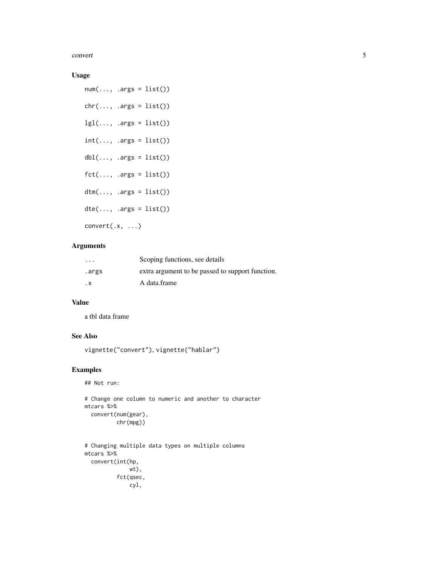convert 5

## Usage

 $num(..., .args = list())$  $chr(..., .args = list())$  $lgl(..., .args = list())$  $int(..., .args = list())$  $dbl(..., .args = list())$  $fct(..., .args = list())$  $dtm(\ldots, \text{ args} = list())$  $dte(..., .args = list())$ convert(.x, ...)

## Arguments

| $\cdots$ | Scoping functions, see details                   |
|----------|--------------------------------------------------|
| .args    | extra argument to be passed to support function. |
| . х      | A data.frame                                     |

## Value

a tbl data frame

## See Also

```
vignette("convert"), vignette("hablar")
```
### Examples

```
## Not run:
```

```
# Change one column to numeric and another to character
mtcars %>%
  convert(num(gear),
         chr(mpg))
```

```
# Changing multiple data types on multiple columns
mtcars %>%
  convert(int(hp,
              wt),
         fct(qsec,
              cyl,
```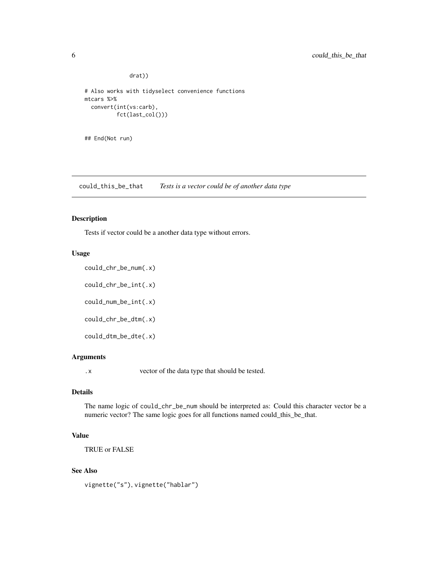drat))

```
# Also works with tidyselect convenience functions
mtcars %>%
  convert(int(vs:carb),
          fct(last_col()))
```
## End(Not run)

could\_this\_be\_that *Tests is a vector could be of another data type*

## Description

Tests if vector could be a another data type without errors.

#### Usage

```
could_chr_be_num(.x)
could_chr_be_int(.x)
could_num_be_int(.x)
could_chr_be_dtm(.x)
could_dtm_be_dte(.x)
```
#### Arguments

.x vector of the data type that should be tested.

#### Details

The name logic of could\_chr\_be\_num should be interpreted as: Could this character vector be a numeric vector? The same logic goes for all functions named could\_this\_be\_that.

## Value

TRUE or FALSE

#### See Also

vignette("s"), vignette("hablar")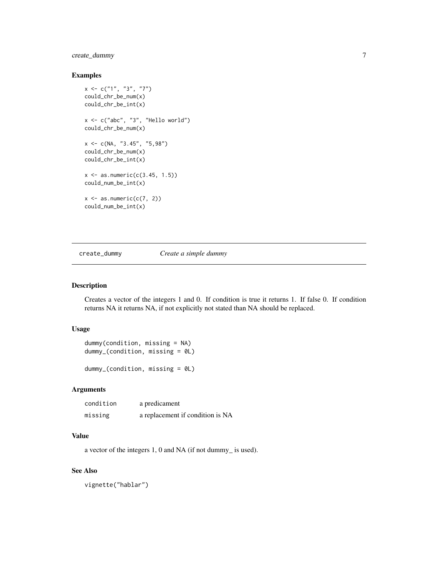## <span id="page-6-0"></span>create\_dummy 7

#### Examples

```
x \leq -c("1", "3", "7")could_chr_be_num(x)
could_chr_be_int(x)
x <- c("abc", "3", "Hello world")
could_chr_be_num(x)
x \leq -c(NA, "3.45", "5,98")could_chr_be_num(x)
could_chr_be_int(x)
x \le - as.numeric(c(3.45, 1.5))
could_num_be_int(x)
x \leftarrow as.numeric(c(7, 2))could_num_be_int(x)
```
create\_dummy *Create a simple dummy*

#### Description

Creates a vector of the integers 1 and 0. If condition is true it returns 1. If false 0. If condition returns NA it returns NA, if not explicitly not stated than NA should be replaced.

#### Usage

```
dummy(condition, missing = NA)
dummy_(condition, missing = 0L)
```
dummy\_(condition, missing = 0L)

## Arguments

| condition | a predicament                    |
|-----------|----------------------------------|
| missing   | a replacement if condition is NA |

#### Value

a vector of the integers 1, 0 and NA (if not dummy\_ is used).

## See Also

vignette("hablar")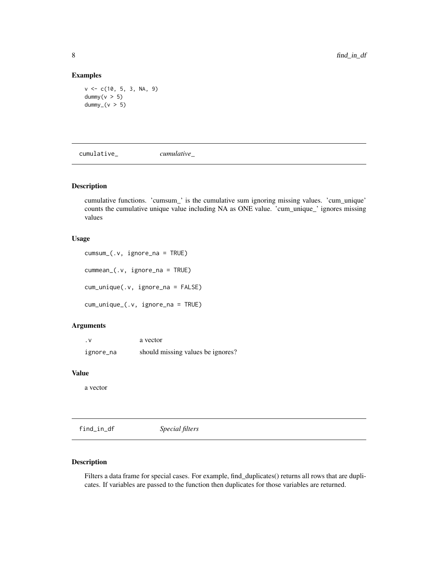## Examples

```
v <- c(10, 5, 3, NA, 9)
dummy(v > 5)
dummy<sub>-</sub>(v > 5)
```
cumulative\_ *cumulative\_*

#### Description

cumulative functions. 'cumsum\_' is the cumulative sum ignoring missing values. 'cum\_unique' counts the cumulative unique value including NA as ONE value. 'cum\_unique\_' ignores missing values

#### Usage

cumsum\_(.v, ignore\_na = TRUE) cummean\_(.v, ignore\_na = TRUE) cum\_unique(.v, ignore\_na = FALSE) cum\_unique\_(.v, ignore\_na = TRUE)

## Arguments

| $\cdot$ V | a vector                          |
|-----------|-----------------------------------|
| ignore_na | should missing values be ignores? |

#### Value

a vector

<span id="page-7-1"></span>find\_in\_df *Special filters*

## Description

Filters a data frame for special cases. For example, find\_duplicates() returns all rows that are duplicates. If variables are passed to the function then duplicates for those variables are returned.

<span id="page-7-0"></span>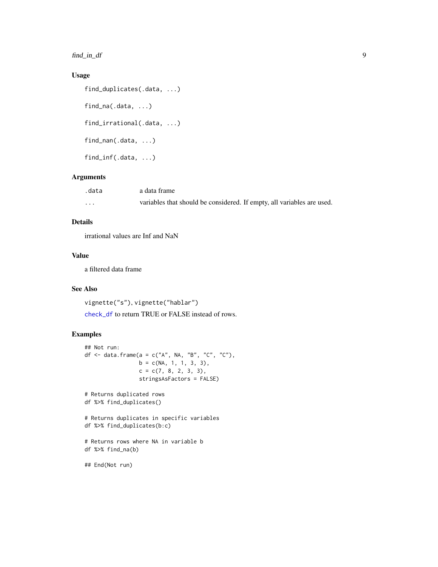<span id="page-8-0"></span>find\_in\_df 9

## Usage

```
find_duplicates(.data, ...)
find_na(.data, ...)
find_irrational(.data, ...)
find_nan(.data, ...)
find_inf(.data, ...)
```
## Arguments

| .data    | a data frame                                                           |
|----------|------------------------------------------------------------------------|
| $\cdots$ | variables that should be considered. If empty, all variables are used. |

## Details

irrational values are Inf and NaN

## Value

a filtered data frame

## See Also

vignette("s"), vignette("hablar")

[check\\_df](#page-2-1) to return TRUE or FALSE instead of rows.

## Examples

```
## Not run:
df <- data.frame(a = c("A", NA, "B", "C", "C"),
                 b = c(NA, 1, 1, 3, 3),c = c(7, 8, 2, 3, 3),
                 stringsAsFactors = FALSE)
# Returns duplicated rows
df %>% find_duplicates()
# Returns duplicates in specific variables
df %>% find_duplicates(b:c)
# Returns rows where NA in variable b
df %>% find_na(b)
## End(Not run)
```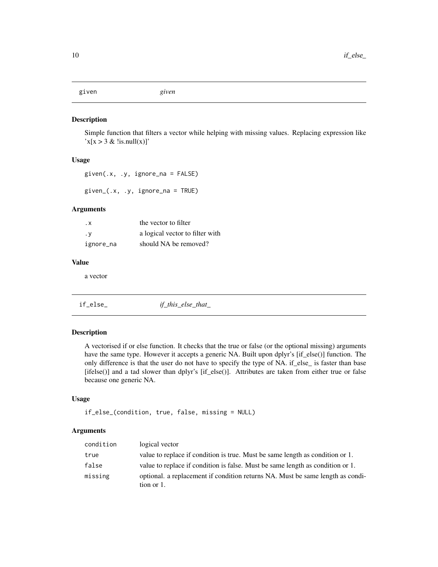<span id="page-9-0"></span>given *given*

#### Description

Simple function that filters a vector while helping with missing values. Replacing expression like  $x[x > 3 \&$  !is.null(x)]'

#### Usage

given(.x, .y, ignore\_na = FALSE)

given\_(.x, .y, ignore\_na = TRUE)

## Arguments

| . x       | the vector to filter            |
|-----------|---------------------------------|
| . у       | a logical vector to filter with |
| ignore_na | should NA be removed?           |

#### Value

a vector

if\_else\_ *if\_this\_else\_that\_*

#### Description

A vectorised if or else function. It checks that the true or false (or the optional missing) arguments have the same type. However it accepts a generic NA. Built upon dplyr's [if\_else()] function. The only difference is that the user do not have to specify the type of NA. if\_else\_ is faster than base [ifelse()] and a tad slower than dplyr's [if\_else()]. Attributes are taken from either true or false because one generic NA.

## Usage

```
if_else_(condition, true, false, missing = NULL)
```
#### Arguments

| condition | logical vector                                                                               |
|-----------|----------------------------------------------------------------------------------------------|
| true      | value to replace if condition is true. Must be same length as condition or 1.                |
| false     | value to replace if condition is false. Must be same length as condition or 1.               |
| missing   | optional. a replacement if condition returns NA. Must be same length as condi-<br>tion or 1. |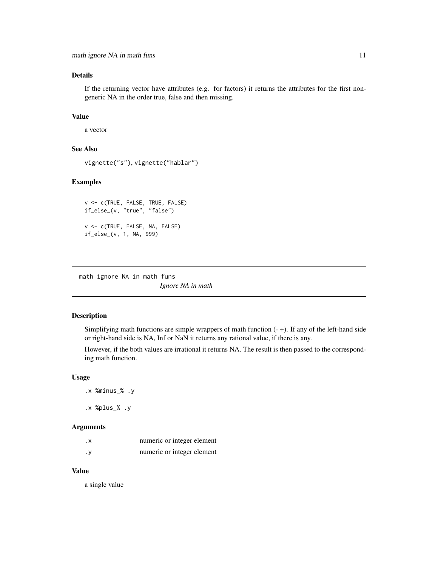## <span id="page-10-0"></span>Details

If the returning vector have attributes (e.g. for factors) it returns the attributes for the first nongeneric NA in the order true, false and then missing.

## Value

a vector

## See Also

```
vignette("s"), vignette("hablar")
```
## Examples

```
v <- c(TRUE, FALSE, TRUE, FALSE)
if_else_(v, "true", "false")
v <- c(TRUE, FALSE, NA, FALSE)
if_else_(v, 1, NA, 999)
```
math ignore NA in math funs *Ignore NA in math*

#### Description

Simplifying math functions are simple wrappers of math function  $(-+)$ . If any of the left-hand side or right-hand side is NA, Inf or NaN it returns any rational value, if there is any.

However, if the both values are irrational it returns NA. The result is then passed to the corresponding math function.

#### Usage

.x %minus\_% .y

.x %plus\_% .y

#### Arguments

| . х | numeric or integer element |
|-----|----------------------------|
| . у | numeric or integer element |

#### Value

a single value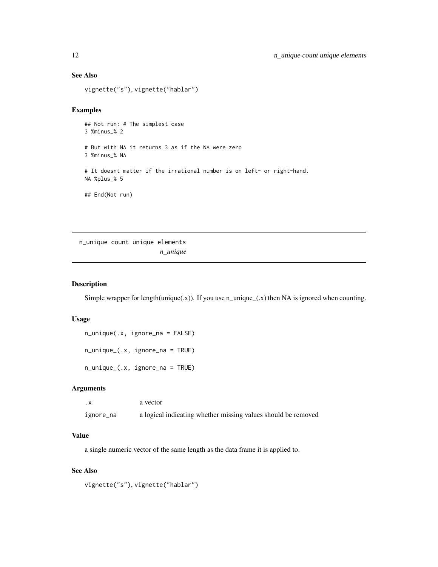### See Also

```
vignette("s"), vignette("hablar")
```
## Examples

## Not run: # The simplest case 3 %minus\_% 2 # But with NA it returns 3 as if the NA were zero 3 %minus\_% NA # It doesnt matter if the irrational number is on left- or right-hand. NA %plus\_% 5 ## End(Not run)

n\_unique count unique elements *n\_unique*

#### Description

Simple wrapper for length(unique(.x)). If you use n\_unique\_(.x) then NA is ignored when counting.

## Usage

n\_unique(.x, ignore\_na = FALSE)

n\_unique\_(.x, ignore\_na = TRUE)

n\_unique\_(.x, ignore\_na = TRUE)

#### Arguments

| . х       | a vector                                                      |
|-----------|---------------------------------------------------------------|
| ignore_na | a logical indicating whether missing values should be removed |

#### Value

a single numeric vector of the same length as the data frame it is applied to.

#### See Also

```
vignette("s"), vignette("hablar")
```
<span id="page-11-0"></span>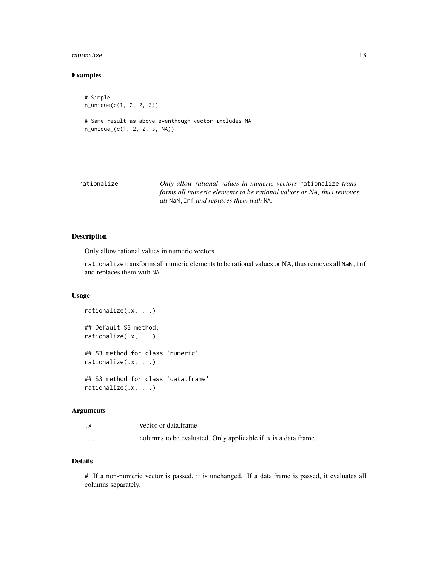#### <span id="page-12-0"></span>rationalize 13

## Examples

# Simple n\_unique(c(1, 2, 2, 3)) # Same result as above eventhough vector includes NA n\_unique\_(c(1, 2, 2, 3, NA))

<span id="page-12-1"></span>

## Description

Only allow rational values in numeric vectors

rationalize transforms all numeric elements to be rational values or NA, thus removes all NaN, Inf and replaces them with NA.

#### Usage

```
rationalize(.x, ...)
## Default S3 method:
rationalize(.x, ...)
## S3 method for class 'numeric'
rationalize(.x, ...)
## S3 method for class 'data.frame'
rationalize(.x, ...)
```
#### Arguments

| . x                     | vector or data.frame                                           |
|-------------------------|----------------------------------------------------------------|
| $\cdot$ $\cdot$ $\cdot$ | columns to be evaluated. Only applicable if x is a data frame. |

## Details

#' If a non-numeric vector is passed, it is unchanged. If a data.frame is passed, it evaluates all columns separately.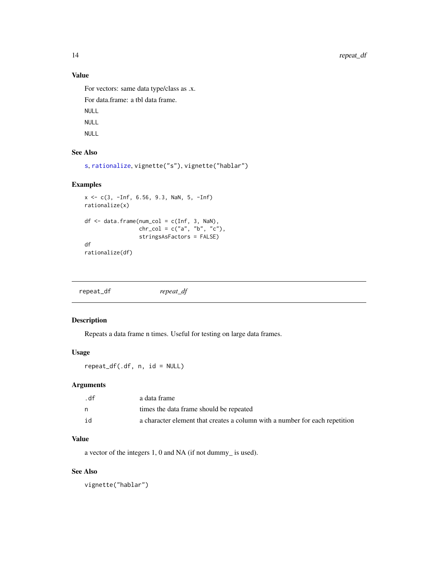## Value

For vectors: same data type/class as .x. For data.frame: a tbl data frame.

NULL NULL

NULL

## See Also

```
s, rationalize, vignette("s"), vignette("hablar")
```
## Examples

```
x <- c(3, -Inf, 6.56, 9.3, NaN, 5, -Inf)
rationalize(x)
df \leftarrow data . frame(num\_col = c(Inf, 3, \text{NaN}),chr_{col} = c("a", "b", "c"),
                   stringsAsFactors = FALSE)
df
rationalize(df)
```

| repeat_df | repeat_df |
|-----------|-----------|
|           |           |

## Description

Repeats a data frame n times. Useful for testing on large data frames.

## Usage

 $repeat\_df(.df, n, id = NULL)$ 

## Arguments

| . df | a data frame                                                                |
|------|-----------------------------------------------------------------------------|
| n    | times the data frame should be repeated                                     |
| id   | a character element that creates a column with a number for each repetition |

## Value

a vector of the integers 1, 0 and NA (if not dummy\_ is used).

## See Also

vignette("hablar")

<span id="page-13-0"></span>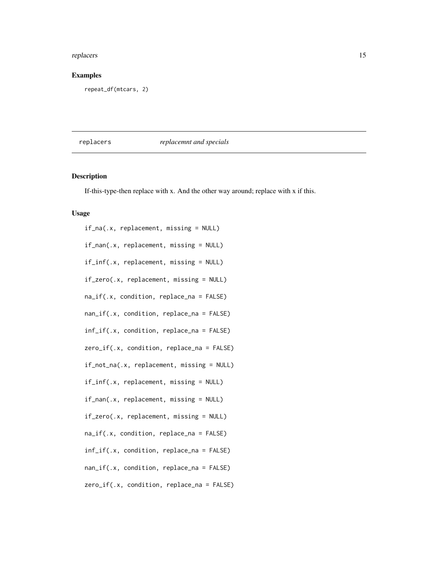#### <span id="page-14-0"></span>replacers and the contract of the contract of the contract of the contract of the contract of the contract of the contract of the contract of the contract of the contract of the contract of the contract of the contract of

## Examples

repeat\_df(mtcars, 2)

## replacers *replacemnt and specials*

## Description

If-this-type-then replace with x. And the other way around; replace with x if this.

## Usage

| if_na(.x, replacement, missing = NULL)                                |
|-----------------------------------------------------------------------|
| if_nan(.x, replacement, missing = NULL)                               |
| if_inf(.x, replacement, missing = NULL)                               |
| if_zero(.x, replacement, missing = NULL)                              |
| na_if(.x, condition, replace_na = FALSE)                              |
| $nan\_if(.x, condition, replace\_na = FALSE)$                         |
| $inf_i(x, \text{condition}, \text{replace} = \text{FALSE})$           |
| zero_if(.x, condition, replace_na = FALSE)                            |
| if_not_na(.x, replacement, missing = NULL)                            |
| $if\_inf(.x, replacement, missing = NULL)$                            |
| $if\_nan(x, replacement, missing = NULL)$                             |
| if_zero(.x, replacement, missing = NULL)                              |
| na_if(.x, condition, replace_na = FALSE)                              |
| $inf_i(x, \text{condition}, \text{replace} \text{na} = \text{FALSE})$ |
| nan_if(.x, condition, replace_na = FALSE)                             |
| $zero_i f(.x, condition, replace_na = FALSE)$                         |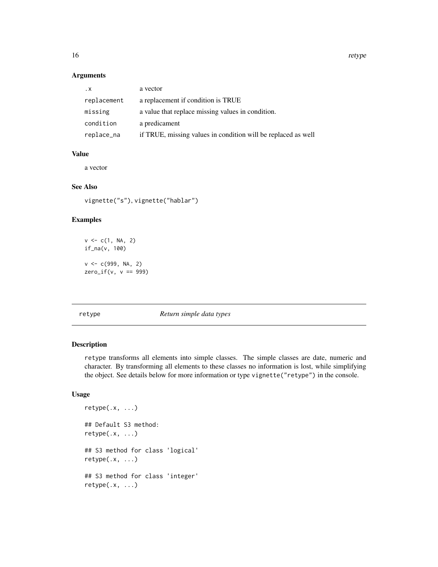### Arguments

| $\cdot$ X   | a vector                                                      |
|-------------|---------------------------------------------------------------|
| replacement | a replacement if condition is TRUE                            |
| missing     | a value that replace missing values in condition.             |
| condition   | a predicament                                                 |
| replace_na  | if TRUE, missing values in condition will be replaced as well |

## Value

a vector

## See Also

vignette("s"), vignette("hablar")

#### Examples

```
v \leq c(1, NA, 2)if_na(v, 100)
v < -c(999, NA, 2)zero\_if(v, v == 999)
```
#### <span id="page-15-1"></span>retype *Return simple data types*

## Description

retype transforms all elements into simple classes. The simple classes are date, numeric and character. By transforming all elements to these classes no information is lost, while simplifying the object. See details below for more information or type vignette("retype") in the console.

## Usage

```
retype(.x, ...)
## Default S3 method:
retype(.x, ...)
## S3 method for class 'logical'
retype(.x, ...)## S3 method for class 'integer'
retype(.x, \ldots)
```
<span id="page-15-0"></span>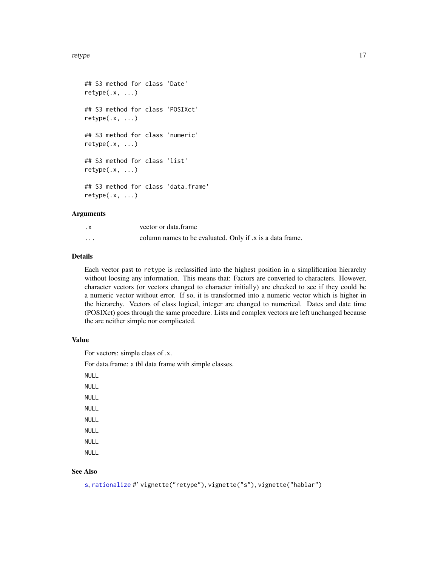#### <span id="page-16-0"></span>retype that the set of the set of the set of the set of the set of the set of the set of the set of the set of the set of the set of the set of the set of the set of the set of the set of the set of the set of the set of t

```
## S3 method for class 'Date'
retype(.x, ...)## S3 method for class 'POSIXct'
retype(.x, \ldots)## S3 method for class 'numeric'
retype(.x, \ldots)## S3 method for class 'list'
retype(.x, \ldots)## S3 method for class 'data.frame'
retype(.x, ...)
```
#### Arguments

| . X      | vector or data frame                                     |  |
|----------|----------------------------------------------------------|--|
| $\cdots$ | column names to be evaluated. Only if x is a data frame. |  |

## Details

Each vector past to retype is reclassified into the highest position in a simplification hierarchy without loosing any information. This means that: Factors are converted to characters. However, character vectors (or vectors changed to character initially) are checked to see if they could be a numeric vector without error. If so, it is transformed into a numeric vector which is higher in the hierarchy. Vectors of class logical, integer are changed to numerical. Dates and date time (POSIXct) goes through the same procedure. Lists and complex vectors are left unchanged because the are neither simple nor complicated.

#### Value

For vectors: simple class of .x.

For data.frame: a tbl data frame with simple classes.

NULL NULL

NULL NULL NULL NULL NULL NULL

## See Also

[s](#page-17-1), [rationalize](#page-12-1) #' vignette("retype"), vignette("s"), vignette("hablar")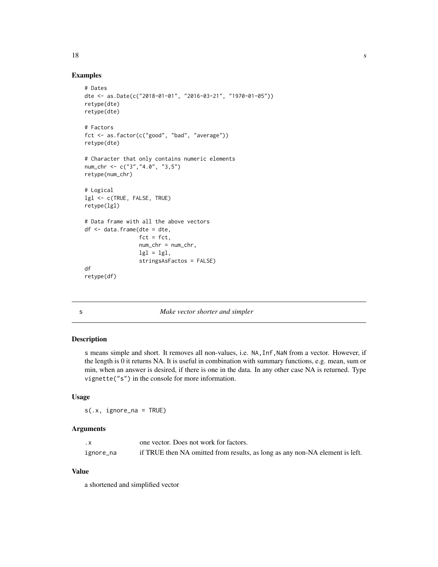#### Examples

```
# Dates
dte <- as.Date(c("2018-01-01", "2016-03-21", "1970-01-05"))
retype(dte)
retype(dte)
# Factors
fct <- as.factor(c("good", "bad", "average"))
retype(dte)
# Character that only contains numeric elements
num_chr <- c("3","4.0", "3,5")
retype(num_chr)
# Logical
lgl <- c(TRUE, FALSE, TRUE)
retype(lgl)
# Data frame with all the above vectors
df <- data.frame(dte = dte,
                 fct = fct,
                 num_chr = num_chr,
                 lgl = lgl,
                 stringsAsFactos = FALSE)
df
retype(df)
```
<span id="page-17-1"></span>

| w |  |
|---|--|
|   |  |

#### s *Make vector shorter and simpler*

#### Description

s means simple and short. It removes all non-values, i.e. NA,Inf,NaN from a vector. However, if the length is 0 it returns NA. It is useful in combination with summary functions, e.g. mean, sum or min, when an answer is desired, if there is one in the data. In any other case NA is returned. Type vignette("s") in the console for more information.

#### Usage

s(.x, ignore\_na = TRUE)

#### Arguments

| $\cdot$ X | one vector. Does not work for factors.                                       |
|-----------|------------------------------------------------------------------------------|
| ignore_na | if TRUE then NA omitted from results, as long as any non-NA element is left. |

## Value

a shortened and simplified vector

<span id="page-17-0"></span> $18 \t s$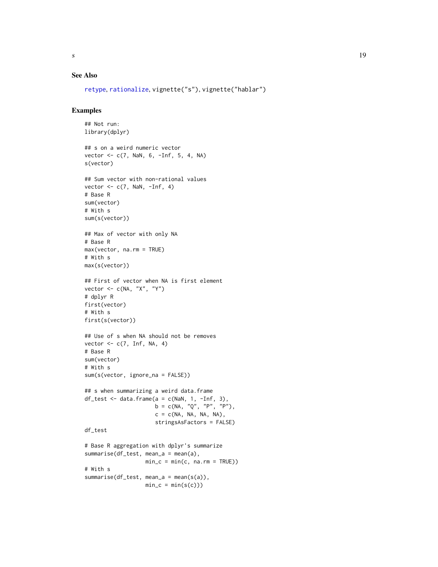<span id="page-18-0"></span>

## See Also

```
retype, rationalize, vignette("s"), vignette("hablar")
```
## Examples

```
## Not run:
library(dplyr)
## s on a weird numeric vector
vector \leq c(7, \text{NaN}, 6, -Inf, 5, 4, \text{NA})s(vector)
## Sum vector with non-rational values
vector \leq c(7, NaN, \simInf, 4)
# Base R
sum(vector)
# With s
sum(s(vector))
## Max of vector with only NA
# Base R
max(vector, na.rm = TRUE)
# With s
max(s(vector))
## First of vector when NA is first element
vector <- c(NA, "X", "Y")
# dplyr R
first(vector)
# With s
first(s(vector))
## Use of s when NA should not be removes
vector \leq c(7, Inf, NA, 4)
# Base R
sum(vector)
# With s
sum(s(vector, ignore_na = FALSE))
## s when summarizing a weird data.frame
df_test \leftarrow data.frame(a = c(NaN, 1, -Inf, 3),b = c(NA, "Q", "P", "P"),c = c(NA, NA, NA, NA),stringsAsFactors = FALSE)
df_test
# Base R aggregation with dplyr's summarize
summarise(df_test, mean_a = mean(a),
                   min_c = min(c, na.rm = TRUE))# With s
summarise(df_test, mean_a = mean(s(a)),
                   min_c = min(s(c)))
```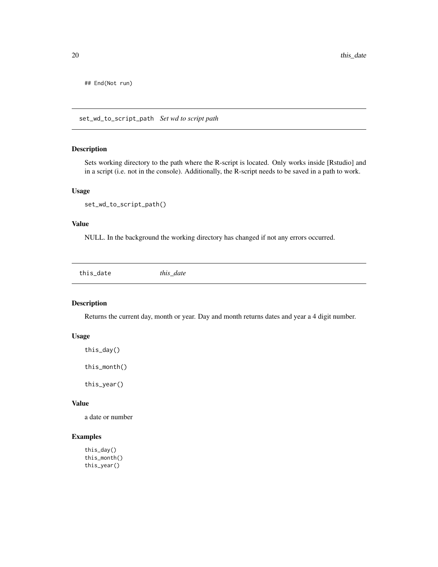<span id="page-19-0"></span>## End(Not run)

set\_wd\_to\_script\_path *Set wd to script path*

#### Description

Sets working directory to the path where the R-script is located. Only works inside [Rstudio] and in a script (i.e. not in the console). Additionally, the R-script needs to be saved in a path to work.

#### Usage

```
set_wd_to_script_path()
```
#### Value

NULL. In the background the working directory has changed if not any errors occurred.

this\_date *this\_date*

## Description

Returns the current day, month or year. Day and month returns dates and year a 4 digit number.

#### Usage

```
this_day()
```
this\_month()

this\_year()

#### Value

a date or number

## Examples

```
this_day()
this_month()
this_year()
```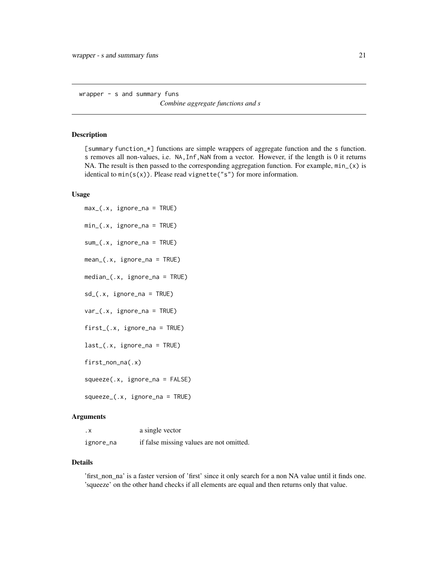<span id="page-20-0"></span>wrapper - s and summary funs

*Combine aggregate functions and s*

#### Description

[summary function\_\*] functions are simple wrappers of aggregate function and the s function. s removes all non-values, i.e. NA,Inf,NaN from a vector. However, if the length is 0 it returns NA. The result is then passed to the corresponding aggregation function. For example,  $min_{x}(x)$  is identical to  $min(s(x))$ . Please read vignette("s") for more information.

#### Usage

```
max_(.x, ignore_na = TRUE)
min_(.x, ignore_na = TRUE)
sum_(.x, ignore_na = TRUE)
mean_(.x, ignore_na = TRUE)
median_(.x, ignore_na = TRUE)
sd_(.x, ignore_na = TRUE)
var_(.x, ignore_na = TRUE)
first_{-}(x, ignore_{-}na = TRUE)last_(.x, ignore_na = TRUE)
first_non_na(.x)
squeeze(.x, ignore_na = FALSE)
squeeze_(.x, ignore_na = TRUE)
```
#### Arguments

| . х       | a single vector                          |
|-----------|------------------------------------------|
| ignore_na | if false missing values are not omitted. |

#### Details

'first\_non\_na' is a faster version of 'first' since it only search for a non NA value until it finds one. 'squeeze' on the other hand checks if all elements are equal and then returns only that value.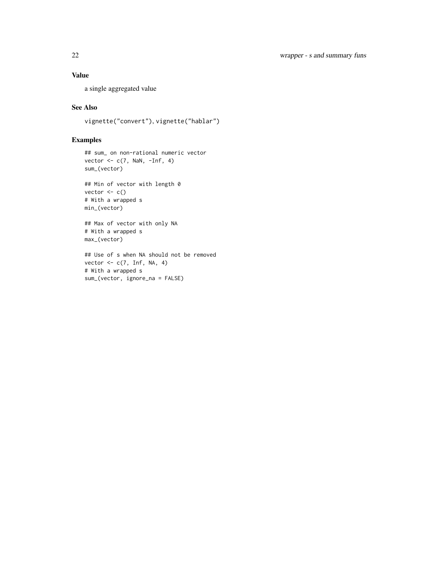## Value

a single aggregated value

## See Also

vignette("convert"), vignette("hablar")

## Examples

```
## sum_ on non-rational numeric vector
vector \leq c(7, NaN, -Inf, 4)
sum_(vector)
```
## Min of vector with length 0 vector  $<-c()$ # With a wrapped s min\_(vector)

## Max of vector with only NA # With a wrapped s max\_(vector)

## Use of s when NA should not be removed vector  $\leq$  c(7, Inf, NA, 4) # With a wrapped s sum\_(vector, ignore\_na = FALSE)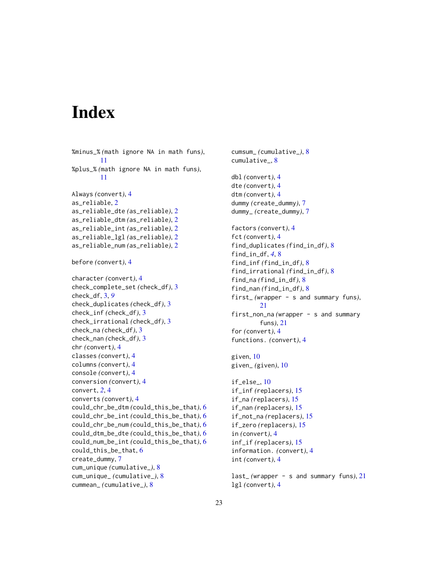# <span id="page-22-0"></span>Index

%minus\_% *(*math ignore NA in math funs*)*, [11](#page-10-0) %plus\_% *(*math ignore NA in math funs*)*, [11](#page-10-0) Always *(*convert*)*, [4](#page-3-0) as\_reliable, [2](#page-1-0) as\_reliable\_dte *(*as\_reliable*)*, [2](#page-1-0) as\_reliable\_dtm *(*as\_reliable*)*, [2](#page-1-0) as\_reliable\_int *(*as\_reliable*)*, [2](#page-1-0) as\_reliable\_lgl *(*as\_reliable*)*, [2](#page-1-0) as\_reliable\_num *(*as\_reliable*)*, [2](#page-1-0) before *(*convert*)*, [4](#page-3-0) character *(*convert*)*, [4](#page-3-0) check\_complete\_set *(*check\_df*)*, [3](#page-2-0) check\_df, [3,](#page-2-0) *[9](#page-8-0)* check\_duplicates *(*check\_df*)*, [3](#page-2-0) check\_inf *(*check\_df*)*, [3](#page-2-0) check\_irrational *(*check\_df*)*, [3](#page-2-0) check\_na *(*check\_df*)*, [3](#page-2-0) check\_nan *(*check\_df*)*, [3](#page-2-0) chr *(*convert*)*, [4](#page-3-0) classes *(*convert*)*, [4](#page-3-0) columns *(*convert*)*, [4](#page-3-0) console *(*convert*)*, [4](#page-3-0) conversion *(*convert*)*, [4](#page-3-0) convert, *[2](#page-1-0)*, [4](#page-3-0) converts *(*convert*)*, [4](#page-3-0) could\_chr\_be\_dtm *(*could\_this\_be\_that*)*, [6](#page-5-0) could\_chr\_be\_int *(*could\_this\_be\_that*)*, [6](#page-5-0) could\_chr\_be\_num *(*could\_this\_be\_that*)*, [6](#page-5-0) could\_dtm\_be\_dte *(*could\_this\_be\_that*)*, [6](#page-5-0) could\_num\_be\_int *(*could\_this\_be\_that*)*, [6](#page-5-0) could\_this\_be\_that, [6](#page-5-0) create\_dummy, [7](#page-6-0) cum\_unique *(*cumulative\_*)*, [8](#page-7-0) cum\_unique\_ *(*cumulative\_*)*, [8](#page-7-0) cummean\_ *(*cumulative\_*)*, [8](#page-7-0)

cumsum\_ *(*cumulative\_*)*, [8](#page-7-0) cumulative\_, [8](#page-7-0) dbl *(*convert*)*, [4](#page-3-0) dte *(*convert*)*, [4](#page-3-0) dtm *(*convert*)*, [4](#page-3-0) dummy *(*create\_dummy*)*, [7](#page-6-0) dummy\_ *(*create\_dummy*)*, [7](#page-6-0) factors *(*convert*)*, [4](#page-3-0) fct *(*convert*)*, [4](#page-3-0) find\_duplicates *(*find\_in\_df*)*, [8](#page-7-0) find\_in\_df, *[4](#page-3-0)*, [8](#page-7-0) find\_inf *(*find\_in\_df*)*, [8](#page-7-0) find\_irrational *(*find\_in\_df*)*, [8](#page-7-0) find\_na *(*find\_in\_df*)*, [8](#page-7-0) find\_nan *(*find\_in\_df*)*, [8](#page-7-0) first\_ *(*wrapper - s and summary funs*)*, [21](#page-20-0) first\_non\_na *(*wrapper - s and summary funs*)*, [21](#page-20-0) for *(*convert*)*, [4](#page-3-0) functions. *(*convert*)*, [4](#page-3-0) given, [10](#page-9-0) given\_ *(*given*)*, [10](#page-9-0) if\_else\_, [10](#page-9-0) if\_inf *(*replacers*)*, [15](#page-14-0) if\_na *(*replacers*)*, [15](#page-14-0) if\_nan *(*replacers*)*, [15](#page-14-0) if\_not\_na *(*replacers*)*, [15](#page-14-0) if\_zero *(*replacers*)*, [15](#page-14-0) in *(*convert*)*, [4](#page-3-0) inf\_if *(*replacers*)*, [15](#page-14-0) information. *(*convert*)*, [4](#page-3-0) int *(*convert*)*, [4](#page-3-0)

```
last_ (wrapper - s and summary funs), 21
lgl (convert), 4
```